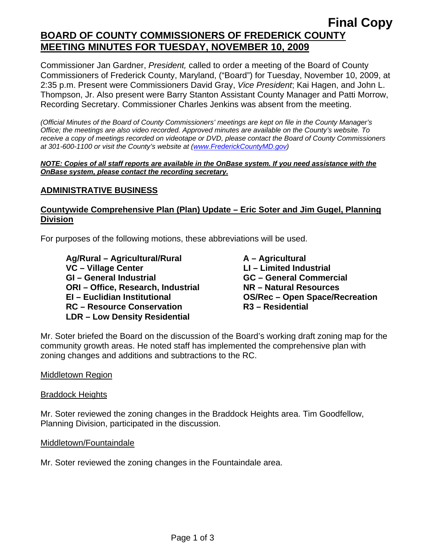# **Final Copy BOARD OF COUNTY COMMISSIONERS OF FREDERICK COUNTY MEETING MINUTES FOR TUESDAY, NOVEMBER 10, 2009**

Commissioner Jan Gardner, *President,* called to order a meeting of the Board of County Commissioners of Frederick County, Maryland, ("Board") for Tuesday, November 10, 2009, at 2:35 p.m. Present were Commissioners David Gray, *Vice President*; Kai Hagen, and John L. Thompson, Jr. Also present were Barry Stanton Assistant County Manager and Patti Morrow, Recording Secretary. Commissioner Charles Jenkins was absent from the meeting.

*(Official Minutes of the Board of County Commissioners' meetings are kept on file in the County Manager's Office; the meetings are also video recorded. Approved minutes are available on the County's website. To receive a copy of meetings recorded on videotape or DVD, please contact the Board of County Commissioners at 301-600-1100 or visit the County's website at ([www.FrederickCountyMD.gov](http://www.frederickcountymd.gov/))* 

#### *NOTE: Copies of all staff reports are available in the OnBase system. If you need assistance with the OnBase system, please contact the recording secretary.*

## **ADMINISTRATIVE BUSINESS**

# **Countywide Comprehensive Plan (Plan) Update – Eric Soter and Jim Gugel, Planning Division**

For purposes of the following motions, these abbreviations will be used.

 **Ag/Rural – Agricultural/Rural A – Agricultural**  VC – Village Center **LI – Limited Industrial GI – General Industrial GC – General Commercial ORI – Office, Research, Industrial NR – Natural Resources EI – Euclidian Institutional OS/Rec – Open Space/Recreation RC – Resource Conservation LDR – Low Density Residential** 

Mr. Soter briefed the Board on the discussion of the Board's working draft zoning map for the community growth areas. He noted staff has implemented the comprehensive plan with zoning changes and additions and subtractions to the RC.

#### Middletown Region

Braddock Heights

Mr. Soter reviewed the zoning changes in the Braddock Heights area. Tim Goodfellow, Planning Division, participated in the discussion.

#### Middletown/Fountaindale

Mr. Soter reviewed the zoning changes in the Fountaindale area.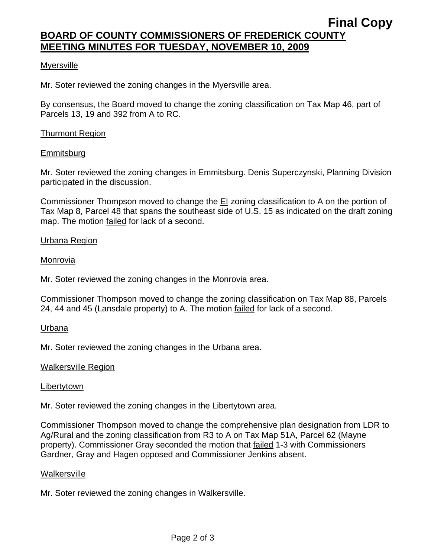# **Final Copy BOARD OF COUNTY COMMISSIONERS OF FREDERICK COUNTY MEETING MINUTES FOR TUESDAY, NOVEMBER 10, 2009**

## **Myersville**

Mr. Soter reviewed the zoning changes in the Myersville area.

By consensus, the Board moved to change the zoning classification on Tax Map 46, part of Parcels 13, 19 and 392 from A to RC.

## Thurmont Region

### **Emmitsburg**

Mr. Soter reviewed the zoning changes in Emmitsburg. Denis Superczynski, Planning Division participated in the discussion.

Commissioner Thompson moved to change the EI zoning classification to A on the portion of Tax Map 8, Parcel 48 that spans the southeast side of U.S. 15 as indicated on the draft zoning map. The motion failed for lack of a second.

### Urbana Region

#### Monrovia

Mr. Soter reviewed the zoning changes in the Monrovia area.

Commissioner Thompson moved to change the zoning classification on Tax Map 88, Parcels 24, 44 and 45 (Lansdale property) to A. The motion failed for lack of a second.

#### Urbana

Mr. Soter reviewed the zoning changes in the Urbana area.

#### Walkersville Region

#### Libertytown

Mr. Soter reviewed the zoning changes in the Libertytown area.

Commissioner Thompson moved to change the comprehensive plan designation from LDR to Ag/Rural and the zoning classification from R3 to A on Tax Map 51A, Parcel 62 (Mayne property). Commissioner Gray seconded the motion that failed 1-3 with Commissioners Gardner, Gray and Hagen opposed and Commissioner Jenkins absent.

#### **Walkersville**

Mr. Soter reviewed the zoning changes in Walkersville.